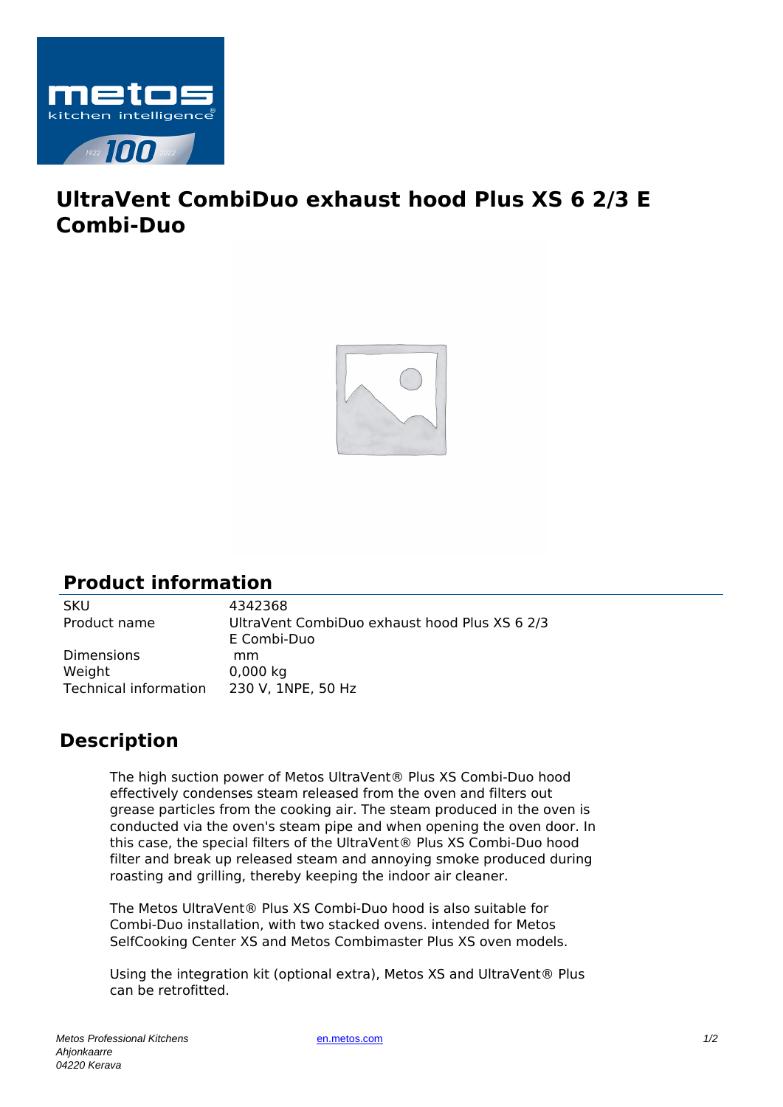

## **UltraVent CombiDuo exhaust hood Plus XS 6 2/3 E Combi-Duo**



## **Product information**

SKU 4342368<br>Product name UltraVent

UltraVent CombiDuo exhaust hood Plus XS 6 2/3 E Combi-Duo Dimensions mm Weight 0,000 kg Technical information 230 V, 1NPE, 50 Hz

## **Description**

The high suction power of Metos UltraVent® Plus XS Combi-Duo hood effectively condenses steam released from the oven and filters out grease particles from the cooking air. The steam produced in the oven is conducted via the oven's steam pipe and when opening the oven door. In this case, the special filters of the UltraVent® Plus XS Combi-Duo hood filter and break up released steam and annoying smoke produced during roasting and grilling, thereby keeping the indoor air cleaner.

The Metos UltraVent® Plus XS Combi-Duo hood is also suitable for Combi-Duo installation, with two stacked ovens. intended for Metos SelfCooking Center XS and Metos Combimaster Plus XS oven models.

Using the integration kit (optional extra), Metos XS and UltraVent® Plus can be retrofitted.